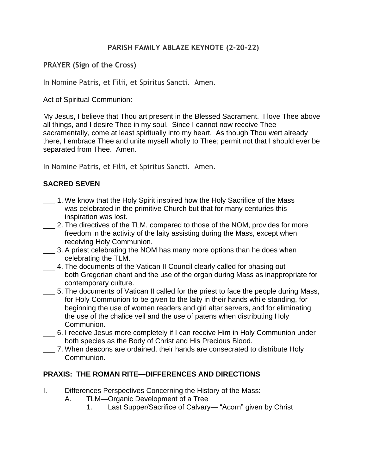### **PARISH FAMILY ABLAZE KEYNOTE (2-20-22)**

### **PRAYER (Sign of the Cross)**

In Nomine Patris, et Filii, et Spiritus Sancti. Amen.

Act of Spiritual Communion:

My Jesus, I believe that Thou art present in the Blessed Sacrament. I love Thee above all things, and I desire Thee in my soul. Since I cannot now receive Thee sacramentally, come at least spiritually into my heart. As though Thou wert already there, I embrace Thee and unite myself wholly to Thee; permit not that I should ever be separated from Thee. Amen.

In Nomine Patris, et Filii, et Spiritus Sancti. Amen.

## **SACRED SEVEN**

- \_\_\_ 1. We know that the Holy Spirit inspired how the Holy Sacrifice of the Mass was celebrated in the primitive Church but that for many centuries this inspiration was lost.
- 2. The directives of the TLM, compared to those of the NOM, provides for more freedom in the activity of the laity assisting during the Mass, except when receiving Holy Communion.
- \_\_\_ 3. A priest celebrating the NOM has many more options than he does when celebrating the TLM.
- \_\_\_ 4. The documents of the Vatican II Council clearly called for phasing out both Gregorian chant and the use of the organ during Mass as inappropriate for contemporary culture.
- \_\_\_ 5. The documents of Vatican II called for the priest to face the people during Mass, for Holy Communion to be given to the laity in their hands while standing, for beginning the use of women readers and girl altar servers, and for eliminating the use of the chalice veil and the use of patens when distributing Holy Communion.
- \_\_\_ 6. I receive Jesus more completely if I can receive Him in Holy Communion under both species as the Body of Christ and His Precious Blood.
- \_\_\_ 7. When deacons are ordained, their hands are consecrated to distribute Holy Communion.

#### **PRAXIS: THE ROMAN RITE—DIFFERENCES AND DIRECTIONS**

- I. Differences Perspectives Concerning the History of the Mass:
	- A. TLM—Organic Development of a Tree
		- 1. Last Supper/Sacrifice of Calvary— "Acorn" given by Christ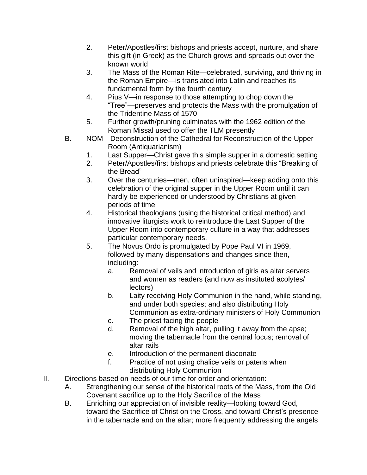- 2. Peter/Apostles/first bishops and priests accept, nurture, and share this gift (in Greek) as the Church grows and spreads out over the known world
- 3. The Mass of the Roman Rite—celebrated, surviving, and thriving in the Roman Empire—is translated into Latin and reaches its fundamental form by the fourth century
- 4. Pius V—in response to those attempting to chop down the "Tree"—preserves and protects the Mass with the promulgation of the Tridentine Mass of 1570
- 5. Further growth/pruning culminates with the 1962 edition of the Roman Missal used to offer the TLM presently
- B. NOM—Deconstruction of the Cathedral for Reconstruction of the Upper Room (Antiquarianism)
	- 1. Last Supper—Christ gave this simple supper in a domestic setting
	- 2. Peter/Apostles/first bishops and priests celebrate this "Breaking of the Bread"
	- 3. Over the centuries—men, often uninspired—keep adding onto this celebration of the original supper in the Upper Room until it can hardly be experienced or understood by Christians at given periods of time
	- 4. Historical theologians (using the historical critical method) and innovative liturgists work to reintroduce the Last Supper of the Upper Room into contemporary culture in a way that addresses particular contemporary needs.
	- 5. The Novus Ordo is promulgated by Pope Paul VI in 1969, followed by many dispensations and changes since then, including:
		- a. Removal of veils and introduction of girls as altar servers and women as readers (and now as instituted acolytes/ lectors)
		- b. Laity receiving Holy Communion in the hand, while standing, and under both species; and also distributing Holy Communion as extra-ordinary ministers of Holy Communion
		- c. The priest facing the people
		- d. Removal of the high altar, pulling it away from the apse; moving the tabernacle from the central focus; removal of altar rails
		- e. Introduction of the permanent diaconate
		- f. Practice of not using chalice veils or patens when distributing Holy Communion
- II. Directions based on needs of our time for order and orientation:
	- A. Strengthening our sense of the historical roots of the Mass, from the Old Covenant sacrifice up to the Holy Sacrifice of the Mass
	- B. Enriching our appreciation of invisible reality—looking toward God, toward the Sacrifice of Christ on the Cross, and toward Christ's presence in the tabernacle and on the altar; more frequently addressing the angels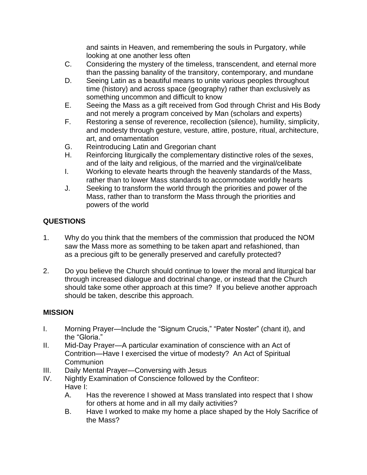and saints in Heaven, and remembering the souls in Purgatory, while looking at one another less often

- C. Considering the mystery of the timeless, transcendent, and eternal more than the passing banality of the transitory, contemporary, and mundane
- D. Seeing Latin as a beautiful means to unite various peoples throughout time (history) and across space (geography) rather than exclusively as something uncommon and difficult to know
- E. Seeing the Mass as a gift received from God through Christ and His Body and not merely a program conceived by Man (scholars and experts)
- F. Restoring a sense of reverence, recollection (silence), humility, simplicity, and modesty through gesture, vesture, attire, posture, ritual, architecture, art, and ornamentation
- G. Reintroducing Latin and Gregorian chant
- H. Reinforcing liturgically the complementary distinctive roles of the sexes, and of the laity and religious, of the married and the virginal/celibate
- I. Working to elevate hearts through the heavenly standards of the Mass, rather than to lower Mass standards to accommodate worldly hearts
- J. Seeking to transform the world through the priorities and power of the Mass, rather than to transform the Mass through the priorities and powers of the world

# **QUESTIONS**

- 1. Why do you think that the members of the commission that produced the NOM saw the Mass more as something to be taken apart and refashioned, than as a precious gift to be generally preserved and carefully protected?
- 2. Do you believe the Church should continue to lower the moral and liturgical bar through increased dialogue and doctrinal change, or instead that the Church should take some other approach at this time? If you believe another approach should be taken, describe this approach.

#### **MISSION**

- I. Morning Prayer—Include the "Signum Crucis," "Pater Noster" (chant it), and the "Gloria."
- II. Mid-Day Prayer—A particular examination of conscience with an Act of Contrition—Have I exercised the virtue of modesty? An Act of Spiritual **Communion**
- III. Daily Mental Prayer—Conversing with Jesus
- IV. Nightly Examination of Conscience followed by the Confiteor: Have I:
	- A. Has the reverence I showed at Mass translated into respect that I show for others at home and in all my daily activities?
	- B. Have I worked to make my home a place shaped by the Holy Sacrifice of the Mass?